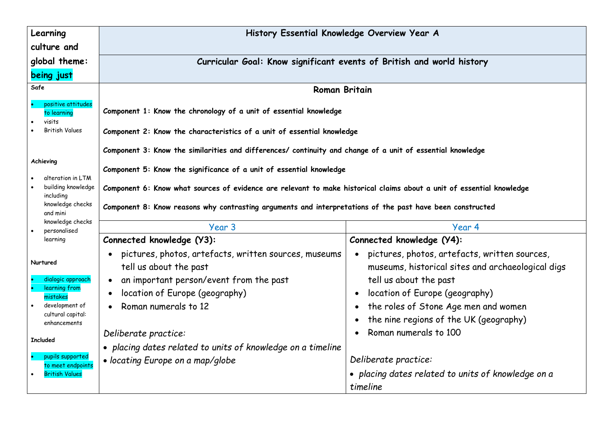| Learning                                    | History Essential Knowledge Overview Year A                                                                                                                                                  |                                                                                                    |  |
|---------------------------------------------|----------------------------------------------------------------------------------------------------------------------------------------------------------------------------------------------|----------------------------------------------------------------------------------------------------|--|
| culture and                                 |                                                                                                                                                                                              |                                                                                                    |  |
| global theme:                               | Curricular Goal: Know significant events of British and world history                                                                                                                        |                                                                                                    |  |
| being just                                  |                                                                                                                                                                                              |                                                                                                    |  |
| Safe                                        | <b>Roman Britain</b>                                                                                                                                                                         |                                                                                                    |  |
| positive attitudes<br>to learning<br>visits | Component 1: Know the chronology of a unit of essential knowledge                                                                                                                            |                                                                                                    |  |
| British Values                              | Component 2: Know the characteristics of a unit of essential knowledge                                                                                                                       |                                                                                                    |  |
|                                             | Component 3: Know the similarities and differences/ continuity and change of a unit of essential knowledge                                                                                   |                                                                                                    |  |
| Achieving<br>alteration in LTM              | Component 5: Know the significance of a unit of essential knowledge<br>Component 6: Know what sources of evidence are relevant to make historical claims about a unit of essential knowledge |                                                                                                    |  |
| building knowledge<br>including             |                                                                                                                                                                                              |                                                                                                    |  |
| knowledge checks<br>and mini                | Component 8: Know reasons why contrasting arguments and interpretations of the past have been constructed                                                                                    |                                                                                                    |  |
| knowledge checks<br>personalised            | Year 3                                                                                                                                                                                       | Year 4                                                                                             |  |
| learning                                    | Connected knowledge (Y3):                                                                                                                                                                    | Connected knowledge (Y4):                                                                          |  |
| Nurtured                                    | pictures, photos, artefacts, written sources, museums<br>tell us about the past                                                                                                              | pictures, photos, artefacts, written sources,<br>museums, historical sites and archaeological digs |  |
| dialogic approach<br>learning from          | an important person/event from the past                                                                                                                                                      | tell us about the past                                                                             |  |
| mistakes                                    | location of Europe (geography)                                                                                                                                                               | location of Europe (geography)                                                                     |  |
| development of<br>cultural capital:         | Roman numerals to 12                                                                                                                                                                         | the roles of Stone Age men and women                                                               |  |
| enhancements                                |                                                                                                                                                                                              | the nine regions of the UK (geography)                                                             |  |
| <b>Included</b>                             | Deliberate practice:                                                                                                                                                                         | Roman numerals to 100                                                                              |  |
|                                             | • placing dates related to units of knowledge on a timeline                                                                                                                                  |                                                                                                    |  |
| pupils supported<br>to meet endpoints       | • locating Europe on a map/globe                                                                                                                                                             | Deliberate practice:                                                                               |  |
| <b>British Values</b>                       |                                                                                                                                                                                              | • placing dates related to units of knowledge on a<br>timeline                                     |  |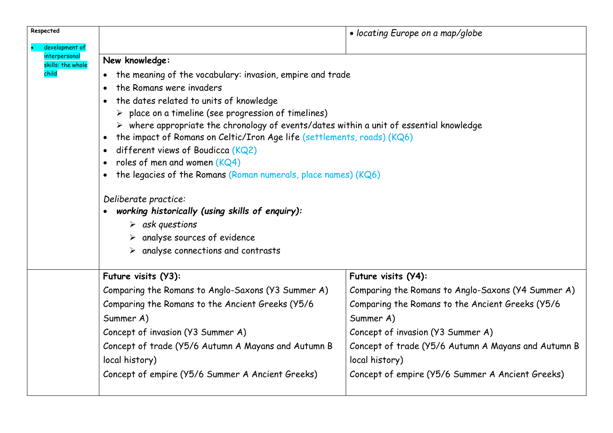| Respected                          |                                                                                                        | • locating Europe on a map/globe                    |  |
|------------------------------------|--------------------------------------------------------------------------------------------------------|-----------------------------------------------------|--|
| development of                     |                                                                                                        |                                                     |  |
| interpersonal<br>skills: the whole | New knowledge:<br>the meaning of the vocabulary: invasion, empire and trade                            |                                                     |  |
| child                              |                                                                                                        |                                                     |  |
|                                    | the Romans were invaders                                                                               |                                                     |  |
|                                    | the dates related to units of knowledge                                                                |                                                     |  |
|                                    | $\triangleright$ place on a timeline (see progression of timelines)                                    |                                                     |  |
|                                    | $\triangleright$ where appropriate the chronology of events/dates within a unit of essential knowledge |                                                     |  |
|                                    | the impact of Romans on Celtic/Iron Age life (settlements, roads) (KQ6)<br>$\bullet$                   |                                                     |  |
|                                    | different views of Boudicca $(KQ2)$<br>roles of men and women $(KQ4)$                                  |                                                     |  |
|                                    | the legacies of the Romans (Roman numerals, place names) (KQ6)                                         |                                                     |  |
|                                    |                                                                                                        |                                                     |  |
|                                    | Deliberate practice:                                                                                   |                                                     |  |
|                                    | working historically (using skills of enquiry):                                                        |                                                     |  |
|                                    | $\triangleright$ ask questions                                                                         |                                                     |  |
|                                    | analyse sources of evidence                                                                            |                                                     |  |
|                                    | analyse connections and contrasts                                                                      |                                                     |  |
|                                    | Future visits (Y3):                                                                                    | Future visits (Y4):                                 |  |
|                                    | Comparing the Romans to Anglo-Saxons (Y3 Summer A)                                                     | Comparing the Romans to Anglo-Saxons (Y4 Summer A)  |  |
|                                    | Comparing the Romans to the Ancient Greeks (Y5/6                                                       | Comparing the Romans to the Ancient Greeks (Y5/6    |  |
|                                    | Summer A)                                                                                              | Summer A)                                           |  |
|                                    | Concept of invasion (Y3 Summer A)                                                                      | Concept of invasion (Y3 Summer A)                   |  |
|                                    | Concept of trade (Y5/6 Autumn A Mayans and Autumn B                                                    | Concept of trade (Y5/6 Autumn A Mayans and Autumn B |  |
|                                    | local history)                                                                                         | local history)                                      |  |
|                                    | Concept of empire (Y5/6 Summer A Ancient Greeks)                                                       | Concept of empire (Y5/6 Summer A Ancient Greeks)    |  |
|                                    |                                                                                                        |                                                     |  |